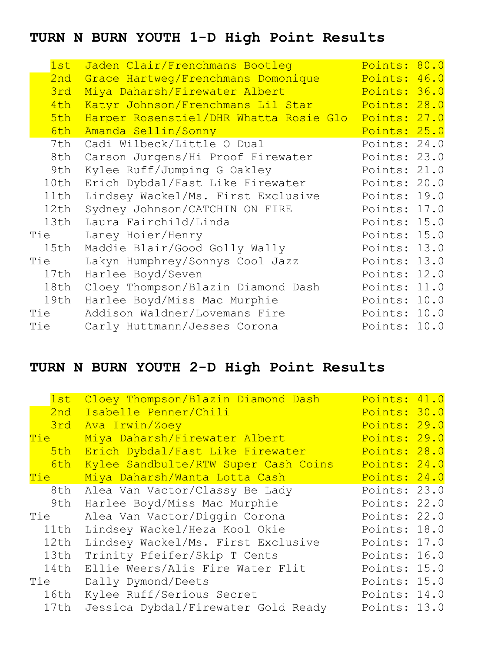## **TURN N BURN YOUTH 1-D High Point Results**

| 1st  | Jaden Clair/Frenchmans Bootleg         | Points: 80.0 |  |
|------|----------------------------------------|--------------|--|
| 2nd  | Grace Hartweg/Frenchmans Domonique     | Points: 46.0 |  |
| 3rd  | Miya Daharsh/Firewater Albert          | Points: 36.0 |  |
| 4th  | Katyr Johnson/Frenchmans Lil Star      | Points: 28.0 |  |
| 5th  | Harper Rosenstiel/DHR Whatta Rosie Glo | Points: 27.0 |  |
| 6th  | Amanda Sellin/Sonny                    | Points: 25.0 |  |
| 7th  | Cadi Wilbeck/Little O Dual             | Points: 24.0 |  |
| 8th  | Carson Jurgens/Hi Proof Firewater      | Points: 23.0 |  |
| 9th  | Kylee Ruff/Jumping G Oakley            | Points: 21.0 |  |
| 10th | Erich Dybdal/Fast Like Firewater       | Points: 20.0 |  |
| 11th | Lindsey Wackel/Ms. First Exclusive     | Points: 19.0 |  |
| 12th | Sydney Johnson/CATCHIN ON FIRE         | Points: 17.0 |  |
| 13th | Laura Fairchild/Linda                  | Points: 15.0 |  |
| Tie  | Laney Hoier/Henry                      | Points: 15.0 |  |
| 15th | Maddie Blair/Good Golly Wally          | Points: 13.0 |  |
| Tie  | Lakyn Humphrey/Sonnys Cool Jazz        | Points: 13.0 |  |
| 17th | Harlee Boyd/Seven                      | Points: 12.0 |  |
| 18th | Cloey Thompson/Blazin Diamond Dash     | Points: 11.0 |  |
| 19th | Harlee Boyd/Miss Mac Murphie           | Points: 10.0 |  |
| Tie  | Addison Waldner/Lovemans Fire          | Points: 10.0 |  |
| Tie  | Carly Huttmann/Jesses Corona           | Points: 10.0 |  |

## **TURN N BURN YOUTH 2-D High Point Results**

| 1st        | Cloey Thompson/Blazin Diamond Dash   | Points: 41.0 |  |
|------------|--------------------------------------|--------------|--|
| 2nd        | Isabelle Penner/Chili                | Points: 30.0 |  |
| 3rd        | Ava Irwin/Zoey                       | Points: 29.0 |  |
| Tie l      | Miya Daharsh/Firewater Albert        | Points: 29.0 |  |
| 5th        | Erich Dybdal/Fast Like Firewater     | Points: 28.0 |  |
| 6th        | Kylee Sandbulte/RTW Super Cash Coins | Points: 24.0 |  |
| <b>Tie</b> | Miya Daharsh/Wanta Lotta Cash        | Points: 24.0 |  |
| 8th        | Alea Van Vactor/Classy Be Lady       | Points: 23.0 |  |
| 9th        | Harlee Boyd/Miss Mac Murphie         | Points: 22.0 |  |
| Tie        | Alea Van Vactor/Diggin Corona        | Points: 22.0 |  |
| 11th       | Lindsey Wackel/Heza Kool Okie        | Points: 18.0 |  |
| 12th       | Lindsey Wackel/Ms. First Exclusive   | Points: 17.0 |  |
| 13th       | Trinity Pfeifer/Skip T Cents         | Points: 16.0 |  |
| 14th       | Ellie Weers/Alis Fire Water Flit     | Points: 15.0 |  |
| Tie        | Dally Dymond/Deets                   | Points: 15.0 |  |
| 16th       | Kylee Ruff/Serious Secret            | Points: 14.0 |  |
| 17th       | Jessica Dybdal/Firewater Gold Ready  | Points: 13.0 |  |